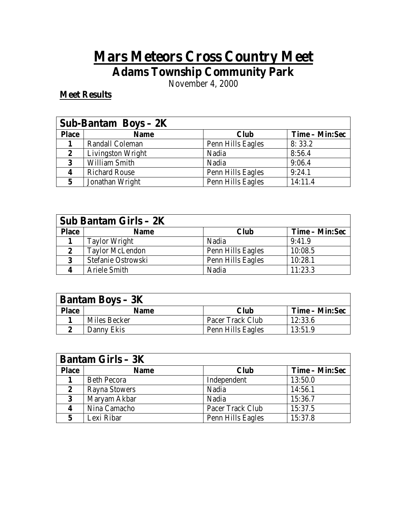## **Mars Meteors Cross Country Meet Adams Township Community Park**

November 4, 2000

## **Meet Results**

| Sub-Bantam Boys $-2K$ |                      |                   |                |
|-----------------------|----------------------|-------------------|----------------|
| <b>Place</b>          | <b>Name</b>          | <b>Club</b>       | Time – Min:Sec |
|                       | Randall Coleman      | Penn Hills Eagles | 8:33.2         |
| 2                     | Livingston Wright    | Nadia             | 8:56.4         |
| 3                     | William Smith        | Nadia             | 9:06.4         |
| $\boldsymbol{4}$      | <b>Richard Rouse</b> | Penn Hills Eagles | 9:24.1         |
|                       | Jonathan Wright      | Penn Hills Eagles | 14:11.4        |

| Sub Bantam Girls $-2K$ |                        |                   |                |
|------------------------|------------------------|-------------------|----------------|
| <b>Place</b>           | <b>Name</b>            | <b>Club</b>       | Time – Min:Sec |
|                        | <b>Taylor Wright</b>   | Nadia             | 9:41.9         |
| 2                      | <b>Taylor McLendon</b> | Penn Hills Eagles | 10:08.5        |
| 3                      | Stefanie Ostrowski     | Penn Hills Eagles | 10:28.1        |
|                        | Ariele Smith           | Nadia             | 11:23.3        |

| <b>Bantam Boys – 3K</b> |              |                   |                |
|-------------------------|--------------|-------------------|----------------|
| <b>Place</b>            | <b>Name</b>  | Club              | Time – Min:Sec |
|                         | Miles Becker | Pacer Track Club  | 12:33.6        |
|                         | Danny Ekis   | Penn Hills Eagles | 13:51.9        |

| <b>Bantam Girls – <math>3K</math></b> |                    |                   |                |
|---------------------------------------|--------------------|-------------------|----------------|
| <b>Place</b>                          | <b>Name</b>        | <b>Club</b>       | Time – Min:Sec |
|                                       | <b>Beth Pecora</b> | Independent       | 13:50.0        |
| 2                                     | Rayna Stowers      | Nadia             | 14:56.1        |
| 3                                     | Maryam Akbar       | Nadia             | 15:36.7        |
|                                       | Nina Camacho       | Pacer Track Club  | 15:37.5        |
|                                       | Lexi Ribar         | Penn Hills Eagles | 15:37.8        |